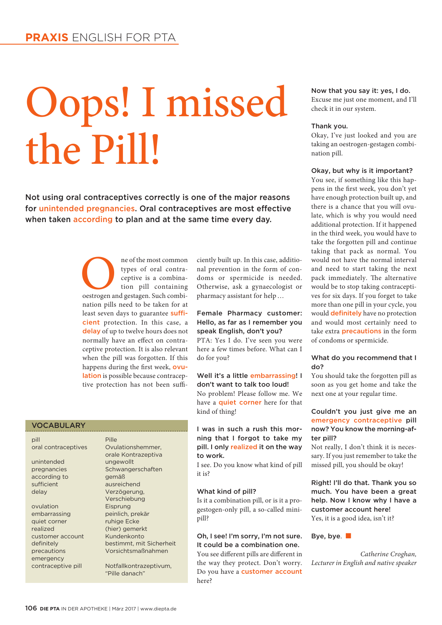## Oops! I missed the Pill!

Not using oral contraceptives correctly is one of the major reasons for unintended pregnancies. Oral contraceptives are most effective when taken according to plan and at the same time every day.

> ne of the most common<br>types of oral contra-<br>ceptive is a combina-<br>tion pill containing<br>oestrogen and gestagen. Such combitypes of oral contraceptive is a combination pill containing nation pills need to be taken for at least seven days to guarantee sufficient protection. In this case, a delay of up to twelve hours does not normally have an effect on contraceptive protection. It is also relevant when the pill was forgotten. If this happens during the first week, ovulation is possible because contraceptive protection has not been suffi-

#### VOCABULARY

pill Pille unintended ungewollt

according to gemäß sufficient ausreichend delay Verzögerung,

ovulation Eisprung embarrassing peinlich, prekär quiet corner **ruhige Ecke** realized (hier) gemerkt customer account Kundenkonto emergency contraceptive pill Notfallkontrazeptivum,

oral contraceptives Ovulationshemmer, orale Kontrazeptiva pregnancies Schwangerschaften Verschiebung definitely bestimmt, mit Sicherheit precautions Vorsichtsmaßnahmen

"Pille danach"

ciently built up. In this case, additional prevention in the form of condoms or spermicide is needed. Otherwise, ask a gynaecologist or pharmacy assistant for help…

#### Female Pharmacy customer: Hello, as far as I remember you speak English, don't you?

PTA: Yes I do. I've seen you were here a few times before. What can I do for you?

#### Well it's a little embarrassing! I don't want to talk too loud!

No problem! Please follow me. We have a **quiet corner** here for that kind of thing!

#### I was in such a rush this morning that I forgot to take my pill. I only realized it on the way to work.

I see. Do you know what kind of pill it is?

#### What kind of pill?

Is it a combination pill, or is it a progestogen-only pill, a so-called minipill?

#### Oh, I see! I'm sorry, I'm not sure. It could be a combination one.

You see different pills are different in the way they protect. Don't worry. Do you have a customer account here?

Now that you say it: yes, I do. Excuse me just one moment, and I'll check it in our system.

#### Thank you.

Okay, I've just looked and you are taking an oestrogen-gestagen combination pill.

#### Okay, but why is it important?

You see, if something like this happens in the first week, you don't yet have enough protection built up, and there is a chance that you will ovulate, which is why you would need additional protection. If it happened in the third week, you would have to take the forgotten pill and continue taking that pack as normal. You would not have the normal interval and need to start taking the next pack immediately. The alternative would be to stop taking contraceptives for six days. If you forget to take more than one pill in your cycle, you would definitely have no protection and would most certainly need to take extra precautions in the form of condoms or spermicide.

#### What do you recommend that I do?

You should take the forgotten pill as soon as you get home and take the next one at your regular time.

#### Couldn't you just give me an emergency contraceptive pill now? You know the morning-after pill?

Not really, I don't think it is necessary. If you just remember to take the missed pill, you should be okay!

Right! I'll do that. Thank you so much. You have been a great help. Now I know why I have a customer account here! Yes, it is a good idea, isn't it?

#### Bye, bye. ■

*Catherine Croghan, Lecturer in English and native speaker*